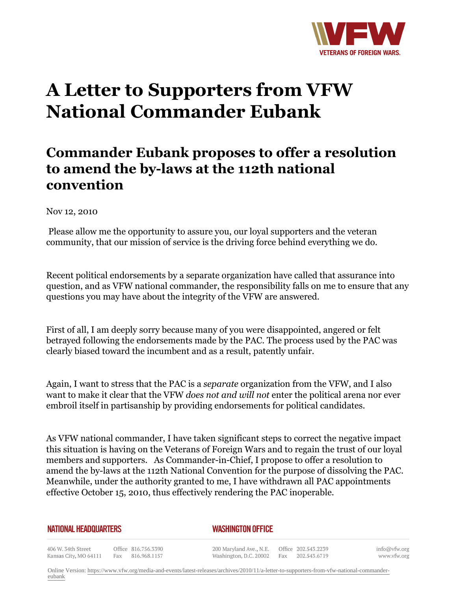

## **A Letter to Supporters from VFW National Commander Eubank**

## **Commander Eubank proposes to offer a resolution to amend the by-laws at the 112th national convention**

Nov 12, 2010

 Please allow me the opportunity to assure you, our loyal supporters and the veteran community, that our mission of service is the driving force behind everything we do.

Recent political endorsements by a separate organization have called that assurance into question, and as VFW national commander, the responsibility falls on me to ensure that any questions you may have about the integrity of the VFW are answered.

First of all, I am deeply sorry because many of you were disappointed, angered or felt betrayed following the endorsements made by the PAC. The process used by the PAC was clearly biased toward the incumbent and as a result, patently unfair.

Again, I want to stress that the PAC is a *separate* organization from the VFW, and I also want to make it clear that the VFW *does not and will not* enter the political arena nor ever embroil itself in partisanship by providing endorsements for political candidates.

As VFW national commander, I have taken significant steps to correct the negative impact this situation is having on the Veterans of Foreign Wars and to regain the trust of our loyal members and supporters. As Commander-in-Chief, I propose to offer a resolution to amend the by-laws at the 112th National Convention for the purpose of dissolving the PAC. Meanwhile, under the authority granted to me, I have withdrawn all PAC appointments effective October 15, 2010, thus effectively rendering the PAC inoperable.

## **NATIONAL HEADQUARTERS**

## *WASHINGTON OFFICE*

406 W. 34th Street Office 816.756.3390 Fax 816.968.1157 Kansas City, MO 64111

200 Maryland Ave., N.E. Washington, D.C. 20002

Office 202.543.2239 Fax 202.543.6719

info@vfw.org www.vfw.org

Online Version: [https://www.vfw.org/media-and-events/latest-releases/archives/2010/11/a-letter-to-supporters-from-vfw-national-commander](https://www.vfw.org/media-and-events/latest-releases/archives/2010/11/a-letter-to-supporters-from-vfw-national-commander-eubank)[eubank](https://www.vfw.org/media-and-events/latest-releases/archives/2010/11/a-letter-to-supporters-from-vfw-national-commander-eubank)